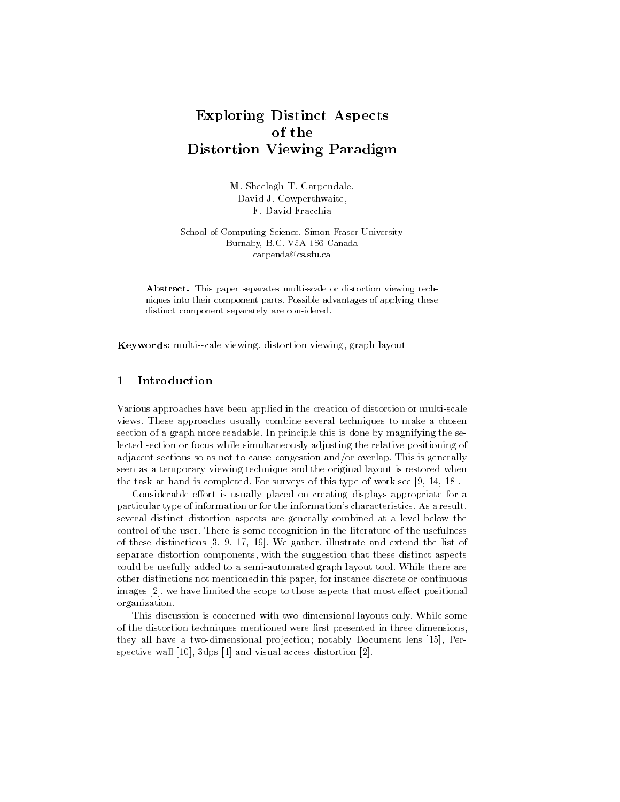# Exploring Distinct Aspects of the Distortion Viewing Paradigm

M. Sheelagh T. Carpendale, David J. Cowperthwaite, F. David Fracchia

School of Computing Science, Simon Fraser University Burnaby, B.C. V5A 1S6 Canada carpenda@cs.sfu.ca

Abstract. This paper separates multi-scale or distortion viewing techniques into their component parts. Possible advantages of applying these distinct component separately are considered.

Keywords: multi-scale viewing, distortion viewing, graph layout

#### Introduction  $\mathbf{1}$

Various approaches have been applied in the creation of distortion or multi-scale views. These approaches usually combine several techniques to make a chosen section of a graph more readable. In principle this is done by magnifying the selected section or focus while simultaneously adjusting the relative positioning of adjacent sections so as not to cause congestion and/or overlap. This is generally seen as a temporary viewing technique and the original layout is restored when the task at hand is completed. For surveys of this type of work see [9, 14, 18].

Considerable effort is usually placed on creating displays appropriate for a particular type of information or for the information's characteristics. As a result, several distinct distortion aspects are generally combined at a level below the control of the user. There is some recognition in the literature of the usefulness of these distinctions [3, 9, 17, 19]. We gather, illustrate and extend the list of separate distortion components, with the suggestion that these distinct aspects could be usefully added to a semi-automated graph layout tool. While there are other distinctions not mentioned in this paper, for instance discrete or continuous images [2], we have limited the scope to those aspects that most effect positional organization.

This discussion is concerned with two dimensional layouts only. While some of the distortion techniques mentioned were first presented in three dimensions, they all have a two-dimensional projection; notably Document lens [15], Perspective wall [10], 3dps [1] and visual access distortion [2].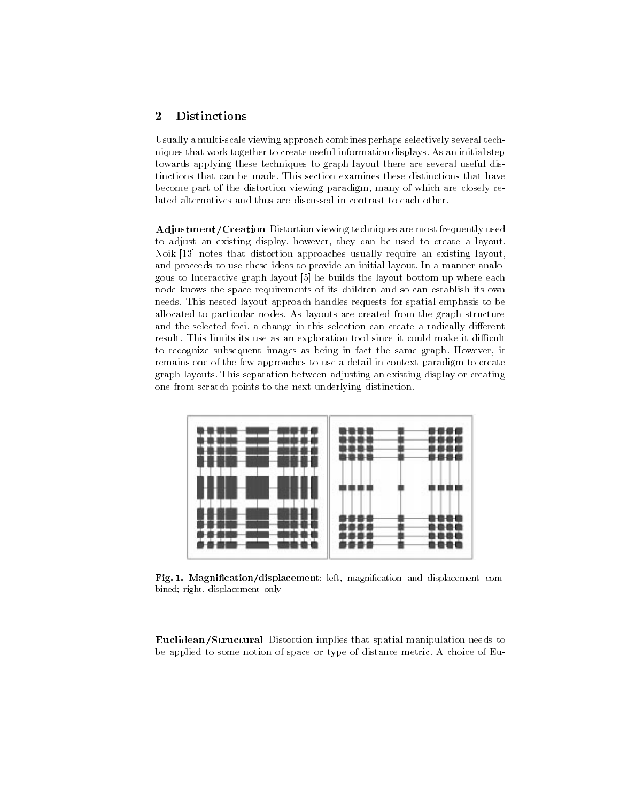## <sup>2</sup> Distinctions

Usually a multi-scale viewing approach combines perhaps selectively several techniques that work together to create useful information displays. As an initial step towards applying these techniques to graph layout there are several useful distinctions that can be made. This section examines these distinctions that have become part of the distortion viewing paradigm, many of which are closely related alternatives and thus are discussed in contrast to each other.

Adjustment/Creation Distortion viewing techniques are most frequently used to adjust an existing display, however, they can be used to create a layout. Noik [13] notes that distortion approaches usually require an existing layout, and proceeds to use these ideas to provide an initial layout. In a manner analogous to Interactive graph layout [5] he builds the layout bottom up where each node knows the space requirements of its children and so can establish its own needs. This nested layout approach handles requests for spatial emphasis to be allocated to particular nodes. As layouts are created from the graph structure and the selected foci, a change in this selection can create a radically different result. This limits its use as an exploration tool since it could make it difficult to recognize subsequent images as being in fact the same graph. However, it remains one of the few approaches to use a detail in context paradigm to create graph layouts. This separation between adjusting an existing display or creating one from scratch points to the next underlying distinction.



Fig. 1. Magnification/displacement; left, magnification and displacement combined; right, displacement only

Euclidean/Structural Distortion implies that spatial manipulation needs to be applied to some notion of space or type of distance metric. A choice of Eu-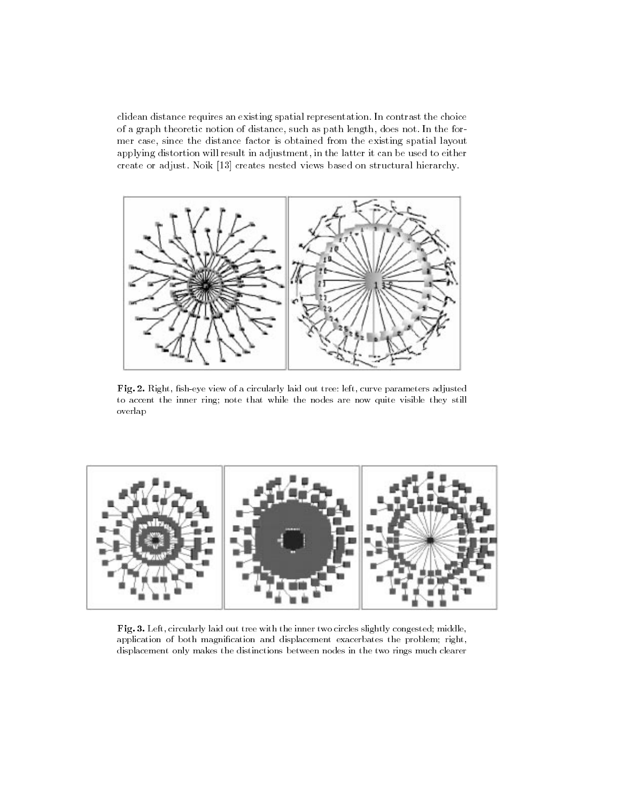clidean distance requires an existing spatial representation. In contrast the choice of a graph theoretic notion of distance, such as path length, does not. In the former case, since the distance factor is obtained from the existing spatial layout applying distortion will result in adjustment, in the latter it can be used to either create or adjust. Noik [13] creates nested views based on structural hierarchy.



Fig. 2. Right, fish-eye view of a circularly laid out tree: left, curve parameters adjusted to accent the inner ring; note that while the nodes are now quite visible they still overlap



Fig. 3. Left, circularly laid out tree with the inner two circles slightly congested; middle, application of both magnication and displacement exacerbates the problem; right, displacement only makes the distinctions between nodes in the two rings much clearer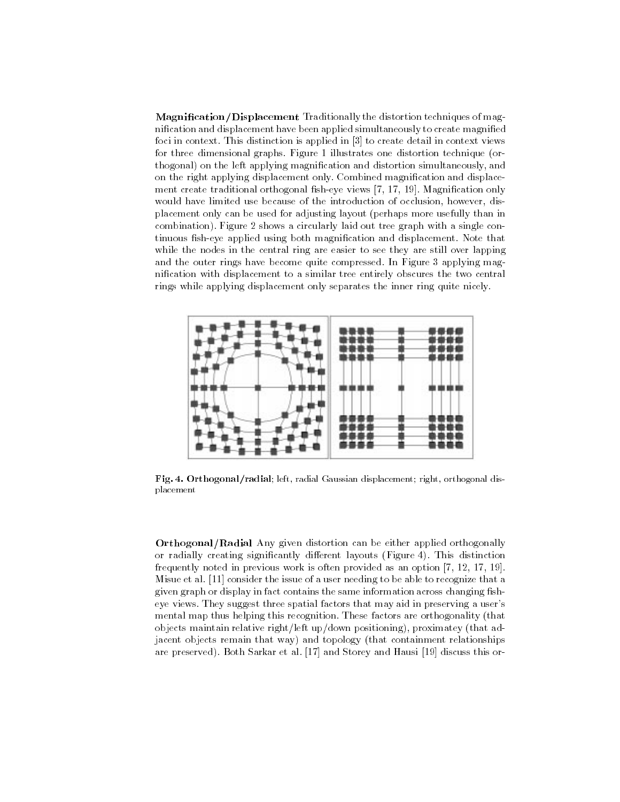Magnification/Displacement Traditionally the distortion techniques of magnication and displacement have been applied simultaneously to create magnied foci in context. This distinction is applied in [3] to create detail in context views for three dimensional graphs. Figure 1 illustrates one distortion technique (orthogonal) on the left applying magnification and distortion simultaneously, and on the right applying displacement only. Combined magnication and displace ment create traditional orthogonal fish-eye views [7, 17, 19]. Magnification only would have limited use because of the introduction of occlusion, however, displacement only can be used for adjusting layout (perhaps more usefully than in combination). Figure 2 shows a circularly laid out tree graph with a single continuous fish-eye applied using both magnification and displacement. Note that while the nodes in the central ring are easier to see they are still over lapping and the outer rings have become quite compressed. In Figure 3 applying magnication with displacement to a similar tree entirely obscures the two central rings while applying displacement only separates the inner ring quite nicely.



Fig. 4. Orthogonal/radial; left, radial Gaussian displacement; right, orthogonal displacement

Orthogonal/Radial Any given distortion can be either applied orthogonally or radially creating significantly different layouts (Figure 4). This distinction frequently noted in previous work is often provided as an option [7, 12, 17, 19]. Misue et al. [11] consider the issue of a user needing to be able to recognize that a given graph or display in fact contains the same information across changing fisheye views. They suggest three spatial factors that may aid in preserving a user's mental map thus helping this recognition. These factors are orthogonality (that objects maintain relative right/left up/down positioning), proximatey (that adjacent objects remain that way) and topology (that containment relationships are preserved). Both Sarkar et al. [17] and Storey and Hausi [19] discuss this or-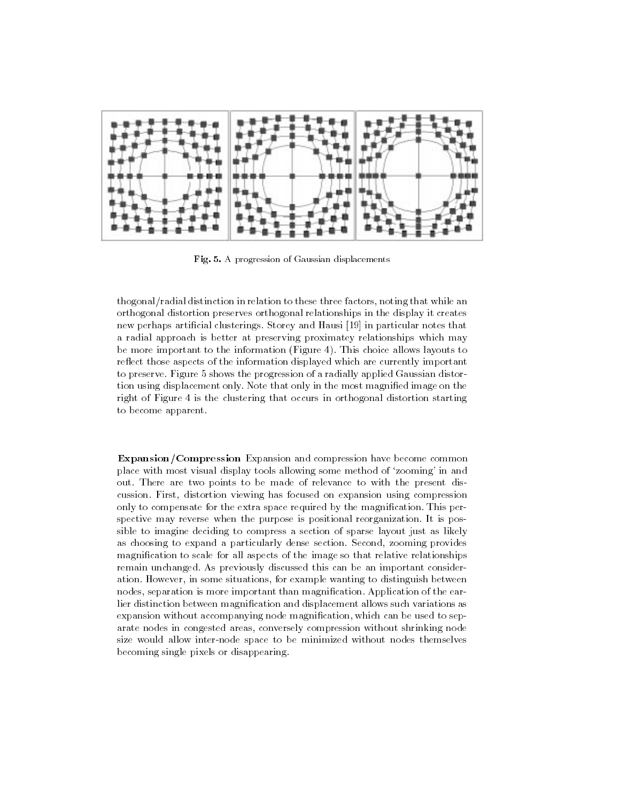

Fig. 5. A progression of Gaussian displacements

thogonal/radial distinction in relation to these three factors, noting that while an orthogonal distortion preserves orthogonal relationships in the display it creates new perhaps articial clusterings. Storey and Hausi [19] in particular notes that a radial approach is better at preserving proximatey relationships which may be more important to the information (Figure 4). This choice allows layouts to reflect those aspects of the information displayed which are currently important to preserve. Figure 5 shows the progression of a radially applied Gaussian distortion using displacement only. Note that only in the most magnied image on the right of Figure 4 is the clustering that occurs in orthogonal distortion starting to become apparent.

**Expansion/Compression** Expansion and compression have become common place with most visual display tools allowing some method of `zooming' in and out. There are two points to be made of relevance to with the present discussion. First, distortion viewing has focused on expansion using compression only to compensate for the extra space required by the magnication. This perspective may reverse when the purpose is positional reorganization. It is possible to imagine deciding to compress a section of sparse layout just as likely as choosing to expand a particularly dense section. Second, zooming provides magnication to scale for all aspects of the image so that relative relationships remain unchanged. As previously discussed this can be an important consideration. However, in some situations, for example wanting to distinguish between nodes, separation is more important than magnication. Application of the earlier distinction between magnication and displacement allows such variations as expansion without accompanying node magnification, which can be used to separate nodes in congested areas, conversely compression without shrinking node size would allow inter-node space to be minimized without nodes themselves becoming single pixels or disappearing.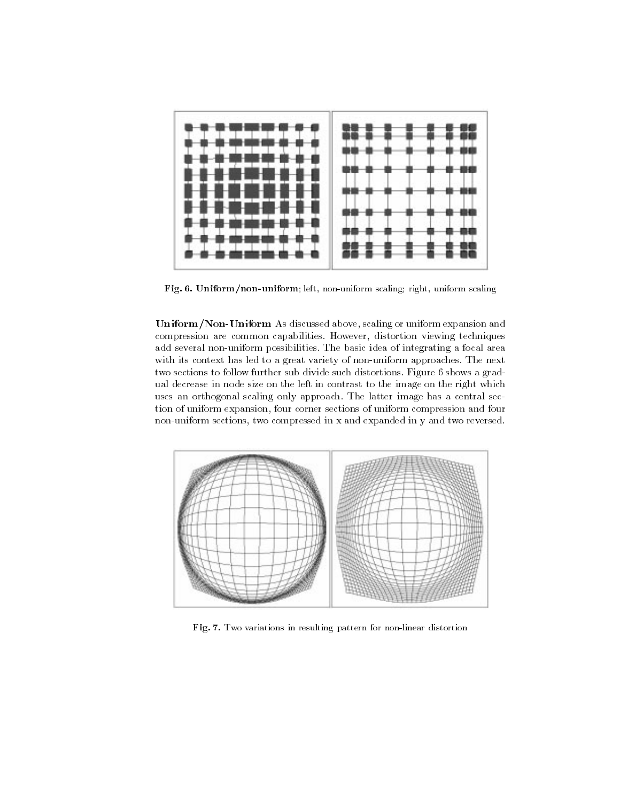

Fig. 6. Uniform/non-uniform; left, non-uniform scaling; right, uniform scaling

Uniform/Non-Uniform As discussed above, scaling or uniform expansion and compression are common capabilities. However, distortion viewing techniques add several non-uniform possibilities. The basic idea of integrating a focal area with its context has led to a great variety of non-uniform approaches. The next two sections to follow further sub divide such distortions. Figure 6 shows a gradual decrease in node size on the left in contrast to the image on the right which uses an orthogonal scaling only approach. The latter image has a central section of uniform expansion, four corner sections of uniform compression and four non-uniform sections, two compressed in x and expanded in y and two reversed.



Fig. 7. Two variations in resulting pattern for non-linear distortion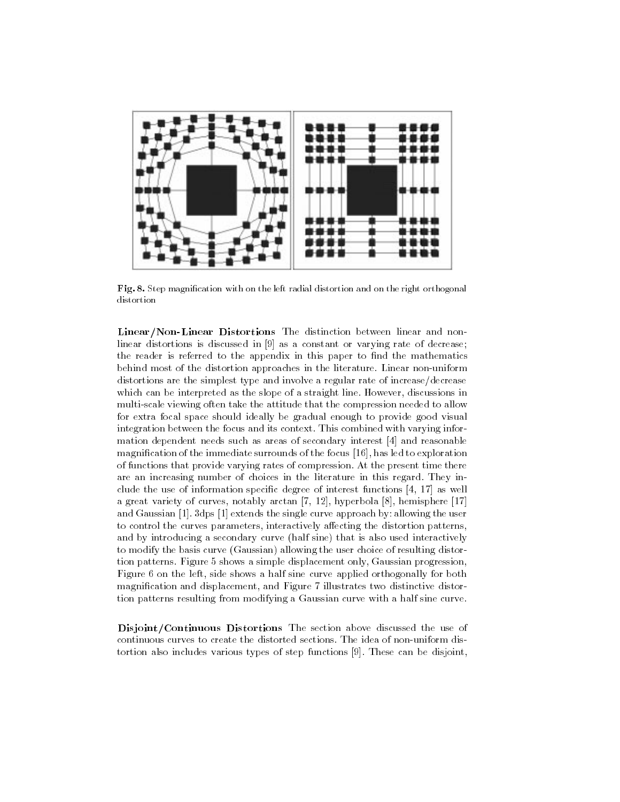

Fig. 8. Step magnication with on the left radial distortion and on the right orthogonal distortion

Linear/Non-Linear Distortions The distinction between linear and nonlinear distortions is discussed in [9] as a constant or varying rate of decrease; the reader is referred to the appendix in this paper to find the mathematics behind most of the distortion approaches in the literature. Linear non-uniform distortions are the simplest type and involve a regular rate of increase/decrease which can be interpreted as the slope of a straight line. However, discussions in multi-scale viewing often take the attitude that the compression needed to allow for extra focal space should ideally be gradual enough to provide good visual integration between the focus and its context. This combined with varying information dependent needs such as areas of secondary interest [4] and reasonable magnication of the immediate surrounds of the focus [16], has led to exploration of functions that provide varying rates of compression. At the present time there are an increasing number of choices in the literature in this regard. They include the use of information specic degree of interest functions [4, 17] as well a great variety of curves, notably arctan [7, 12], hyperbola [8], hemisphere [17] and Gaussian [1]. 3dps [1] extends the single curve approach by: allowing the user to control the curves parameters, interactively affecting the distortion patterns, and by introducing a secondary curve (half sine) that is also used interactively to modify the basis curve (Gaussian) allowing the user choice of resulting distortion patterns. Figure 5 shows a simple displacement only, Gaussian progression, Figure 6 on the left, side shows a half sine curve applied orthogonally for both magnication and displacement, and Figure 7 illustrates two distinctive distortion patterns resulting from modifying a Gaussian curve with a half sine curve.

Disjoint/Continuous Distortions The section above discussed the use of continuous curves to create the distorted sections. The idea of non-uniform distortion also includes various types of step functions [9]. These can be disjoint,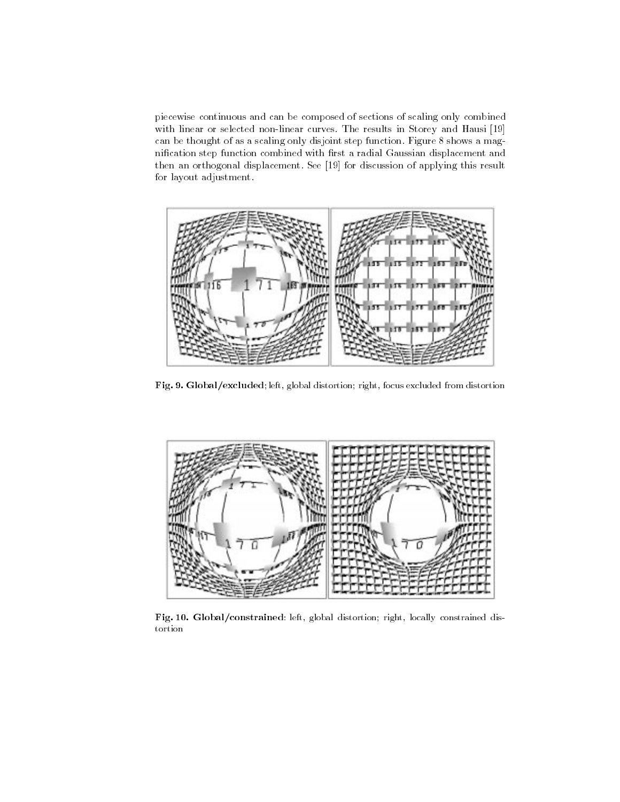piecewise continuous and can be composed of sections of scaling only combined with linear or selected non-linear curves. The results in Storey and Hausi [19] can be thought of as a scaling only disjoint step function. Figure 8 shows a magnification step function combined with first a radial Gaussian displacement and then an orthogonal displacement. See [19] for discussion of applying this result for layout adjustment.



Fig. 9. Global/excluded; left, global distortion; right, focus excluded from distortion



Fig. 10. Global/constrained: left, global distortion; right, locally constrained distortion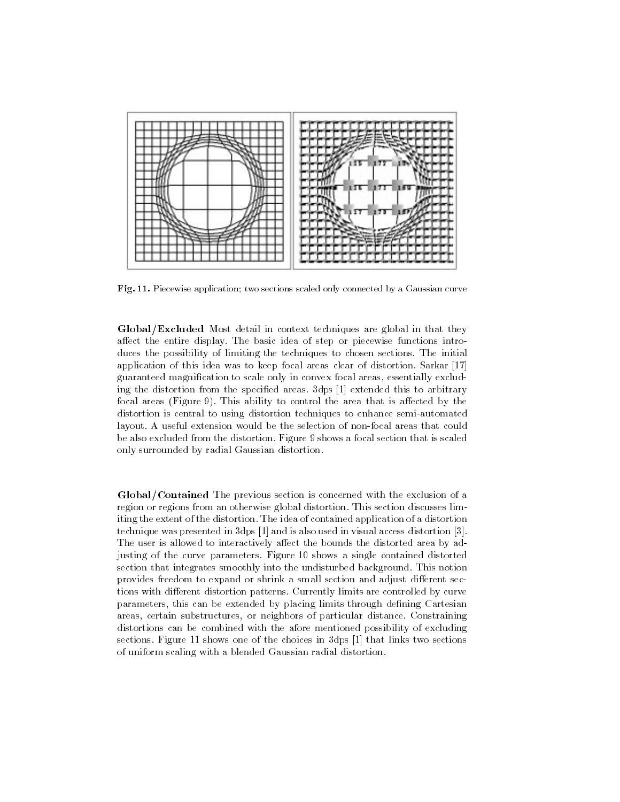

Fig. 11. Piecewise application; two sections scaled only connected by a Gaussian curve

Global/Excluded Most detail in context techniques are global in that they affect the entire display. The basic idea of step or piecewise functions introduces the possibility of limiting the techniques to chosen sections. The initial application of this idea was to keep focal areas clear of distortion. Sarkar [17] guaranteed magnication to scale only in convex focal areas, essentially excluding the distortion from the specied areas. 3dps [1] extended this to arbitrary focal areas (Figure 9). This ability to control the area that is affected by the distortion is central to using distortion techniques to enhance semi-automated layout. A useful extension would be the selection of non-focal areas that could be also excluded from the distortion. Figure 9 shows a focal section that is scaled only surrounded by radial Gaussian distortion.

Global/Contained The previous section is concerned with the exclusion of a region or regions from an otherwise global distortion. This section discusses limiting the extent of the distortion. The idea of contained application of a distortion technique was presented in 3dps [1] and is also used in visual access distortion [3]. The user is allowed to interactively affect the bounds the distorted area by adjusting of the curve parameters. Figure 10 shows a single contained distorted section that integrates smoothly into the undisturbed background. This notion provides freedom to expand or shrink a small section and adjust different sections with different distortion patterns. Currently limits are controlled by curve parameters, this can be extended by placing limits through defining Cartesian areas, certain substructures, or neighbors of particular distance. Constraining distortions can be combined with the afore mentioned possibility of excluding sections. Figure 11 shows one of the choices in 3dps [1] that links two sections of uniform scaling with a blended Gaussian radial distortion.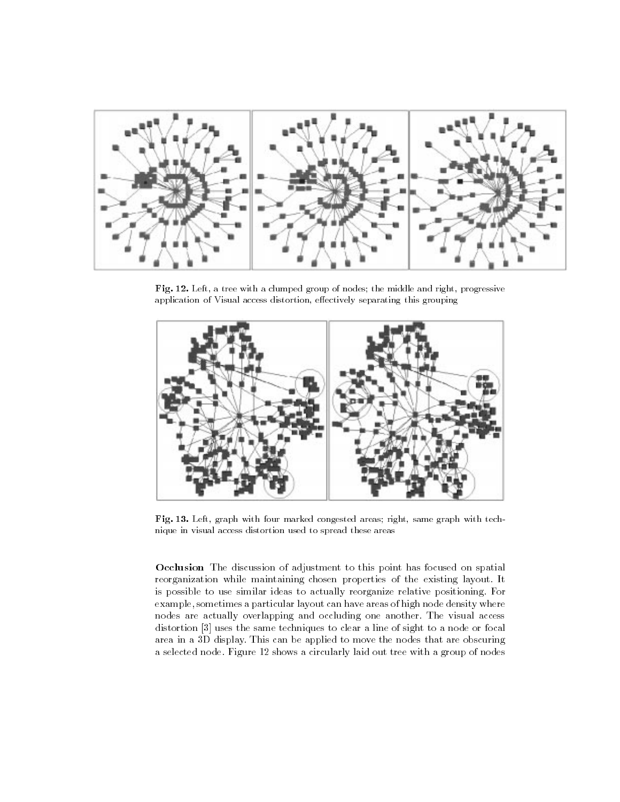

Fig. 12. Left, a tree with a clumped group of nodes; the middle and right, progressive application of Visual access distortion, effectively separating this grouping



Fig. 13. Left, graph with four marked congested areas; right, same graph with technique in visual access distortion used to spread these areas

Occlusion The discussion of adjustment to this point has focused on spatial reorganization while maintaining chosen properties of the existing layout. It is possible to use similar ideas to actually reorganize relative positioning. For example, sometimes a particular layout can have areas of high node density where nodes are actually overlapping and occluding one another. The visual access distortion [3] uses the same techniques to clear a line of sight to a node or focal area in a 3D display. This can be applied to move the nodes that are obscuring a selected node. Figure 12 shows a circularly laid out tree with a group of nodes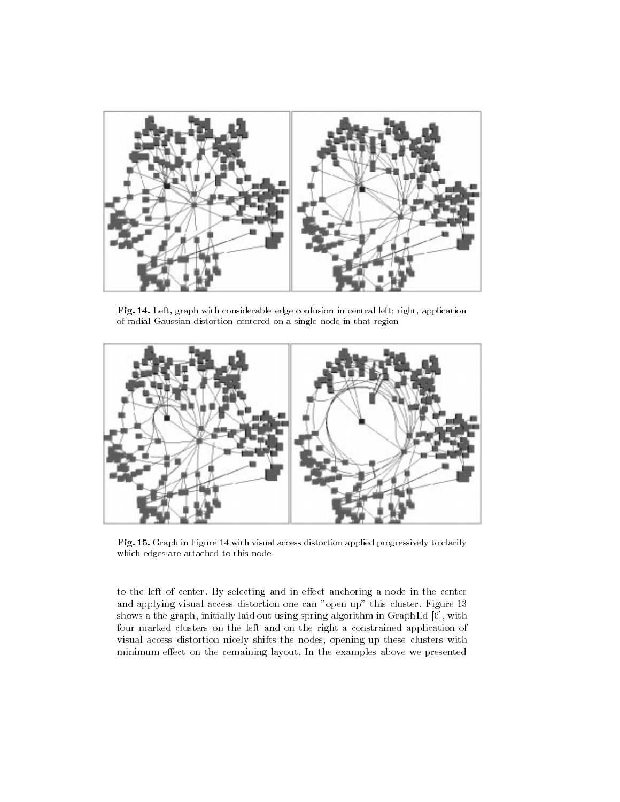

Fig. 14. Left, graph with considerable edge confusion in central left; right, application of radial Gaussian distortion centered on a single node in that region



Fig. 15. Graph in Figure 14 with visual access distortion applied progressively to clarify which edges are attached to this node

to the left of center. By selecting and in effect anchoring a node in the center and applying visual access distortion one can "open up" this cluster. Figure 13 shows a the graph, initially laid out using spring algorithm in GraphEd [6], with four marked clusters on the left and on the right a constrained application of visual access distortion nicely shifts the nodes, opening up these clusters with minimum effect on the remaining layout. In the examples above we presented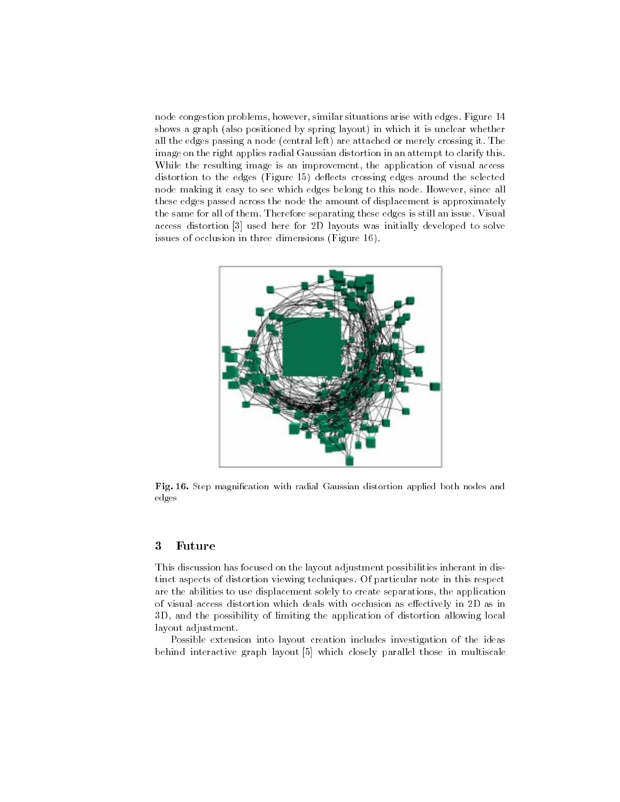node congestion problems, however, similar situations arise with edges. Figure 14 shows a graph (also positioned by spring layout) in which it is unclear whether all the edges passing a node (central left) are attached or merely crossing it. The image on the right applies radial Gaussian distortion in an attempt to clarify this. While the resulting image is an improvement, the application of visual access distortion to the edges (Figure 15) deflects crossing edges around the selected node making it easy to see which edges belong to this node. However, since all these edges passed across the node the amount of displacement is approximately the same for all of them. Therefore separating these edges is still an issue. Visual access distortion [3] used here for 2D layouts was initially developed to solve issues of occlusion in three dimensions (Figure 16).



Fig. 16. Step magnication with radial Gaussian distortion applied both nodes and edges

## <sup>3</sup> Future

This discussion has focused on the layout adjustment possibilities inherant in distinct aspects of distortion viewing techniques. Of particular note in this respect are the abilities to use displacement solely to create separations, the application of visual access distortion which deals with occlusion as eectively in 2D as in 3D, and the possibility of limiting the application of distortion allowing local layout adjustment.

Possible extension into layout creation includes investigation of the ideas behind interactive graph layout [5] which closely parallel those in multiscale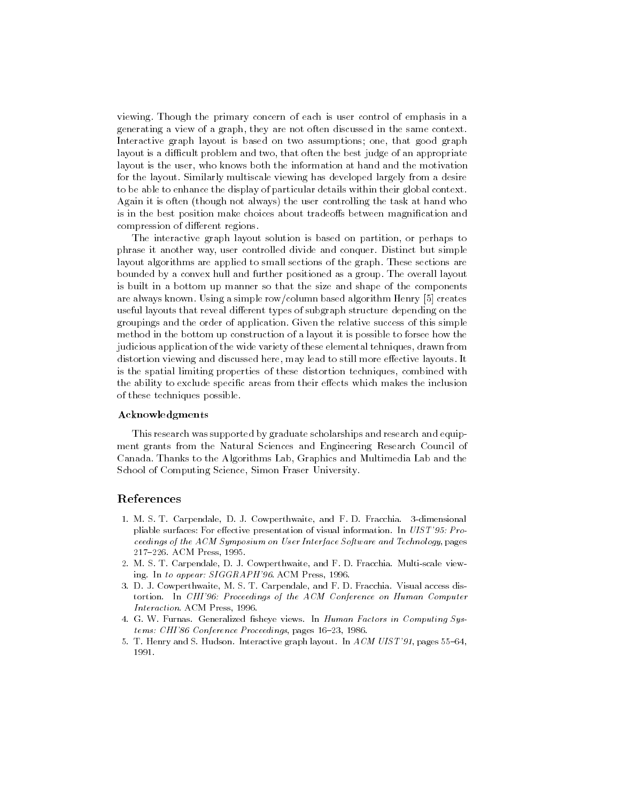viewing. Though the primary concern of each is user control of emphasis in a generating a view of a graph, they are not often discussed in the same context. Interactive graph layout is based on two assumptions; one, that good graph layout is a difficult problem and two, that often the best judge of an appropriate layout is the user, who knows both the information at hand and the motivation for the layout. Similarly multiscale viewing has developed largely from a desire to be able to enhance the display of particular details within their global context. Again it is often (though not always) the user controlling the task at hand who is in the best position make choices about tradeoffs between magnification and compression of different regions.

The interactive graph layout solution is based on partition, or perhaps to phrase it another way, user controlled divide and conquer. Distinct but simple layout algorithms are applied to small sections of the graph. These sections are bounded by a convex hull and further positioned as a group. The overall layout is built in a bottom up manner so that the size and shape of the components are always known. Using a simple row/column based algorithm Henry [5] creates useful layouts that reveal different types of subgraph structure depending on the groupings and the order of application. Given the relative success of this simple method in the bottom up construction of a layout it is possible to forsee how the judicious application of the wide variety of these elemental tehniques, drawn from distortion viewing and discussed here, may lead to still more effective layouts. It is the spatial limiting properties of these distortion techniques, combined with the ability to exclude specific areas from their effects which makes the inclusion of these techniques possible.

#### Acknowledgments

This research was supported by graduate scholarships and research and equip ment grants from the Natural Sciences and Engineering Research Council of Canada. Thanks to the Algorithms Lab, Graphics and Multimedia Lab and the School of Computing Science, Simon Fraser University.

#### References

- 1. M. S. T. Carpendale, D. J. Cowperthwaite, and F. D. Fracchia. 3-dimensional pliable surfaces: For effective presentation of visual information. In  $UIST'95: Pro$ ceedings of the ACM Symposium on User Interface Software and Technology, pages 217-226. ACM Press, 1995.
- 2. M. S. T. Carpendale, D. J. Cowperthwaite, and F. D. Fracchia. Multi-scale viewing. In to appear: SIGGRAPH'96. ACM Press, 1996.
- 3. D. J. Cowperthwaite, M. S. T. Carpendale, and F. D. Fracchia. Visual access distortion. In CHI'96: Proceedings of the ACM Conference on Human Computer Interaction. ACM Press, 1996.
- 4. G. W. Furnas. Generalized fisheye views. In Human Factors in Computing Systems: CHI'86 Conference Proceedings, pages 16-23, 1986.
- 5. T. Henry and S. Hudson. Interactive graph layout. In  $ACM$  UIS T'91, pages 55-64, 1991.